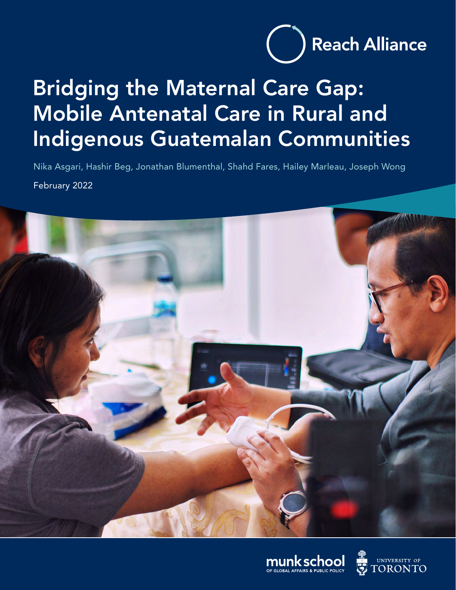

# Bridging the Maternal Care Gap: Mobile Antenatal Care in Rural and Indigenous Guatemalan Communities

Nika Asgari, Hashir Beg, Jonathan Blumenthal, Shahd Fares, Hailey Marleau, Joseph Wong February 2022





UNIVERSITY OF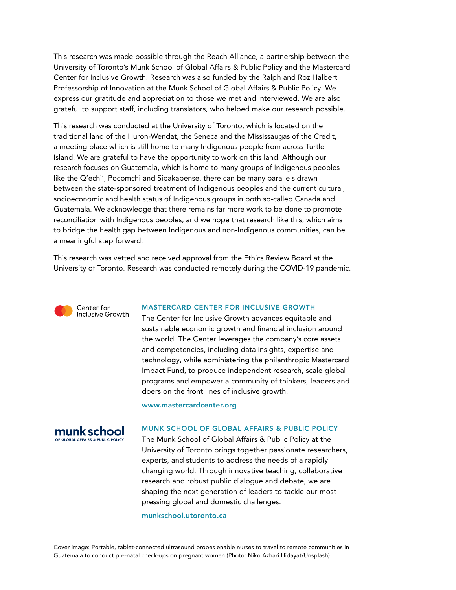This research was made possible through the Reach Alliance, a partnership between the University of Toronto's Munk School of Global Affairs & Public Policy and the Mastercard Center for Inclusive Growth. Research was also funded by the Ralph and Roz Halbert Professorship of Innovation at the Munk School of Global Affairs & Public Policy. We express our gratitude and appreciation to those we met and interviewed. We are also grateful to support staff, including translators, who helped make our research possible.

This research was conducted at the University of Toronto, which is located on the traditional land of the Huron-Wendat, the Seneca and the Mississaugas of the Credit, a meeting place which is still home to many Indigenous people from across Turtle Island. We are grateful to have the opportunity to work on this land. Although our research focuses on Guatemala, which is home to many groups of Indigenous peoples like the Q'echi', Pocomchi and Sipakapense, there can be many parallels drawn between the state-sponsored treatment of Indigenous peoples and the current cultural, socioeconomic and health status of Indigenous groups in both so-called Canada and Guatemala. We acknowledge that there remains far more work to be done to promote reconciliation with Indigenous peoples, and we hope that research like this, which aims to bridge the health gap between Indigenous and non-Indigenous communities, can be a meaningful step forward.

This research was vetted and received approval from the Ethics Review Board at the University of Toronto. Research was conducted remotely during the COVID-19 pandemic.



#### MASTERCARD CENTER FOR INCLUSIVE GROWTH

The Center for Inclusive Growth advances equitable and sustainable economic growth and financial inclusion around the world. The Center leverages the company's core assets and competencies, including data insights, expertise and technology, while administering the philanthropic Mastercard Impact Fund, to produce independent research, scale global programs and empower a community of thinkers, leaders and doers on the front lines of inclusive growth.

[www.mastercardcenter.org](https://www.mastercardcenter.org/)



#### MUNK SCHOOL OF GLOBAL AFFAIRS & PUBLIC POLICY

The Munk School of Global Affairs & Public Policy at the University of Toronto brings together passionate researchers, experts, and students to address the needs of a rapidly changing world. Through innovative teaching, collaborative research and robust public dialogue and debate, we are shaping the next generation of leaders to tackle our most pressing global and domestic challenges.

#### [munkschool.utoronto.ca](https://munkschool.utoronto.ca/)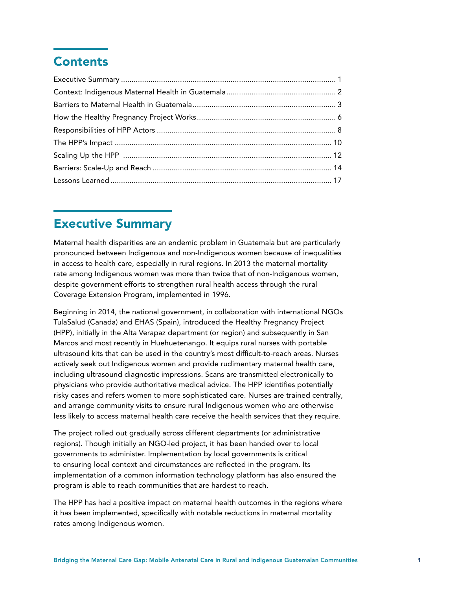# **Contents**

### Executive Summary

Maternal health disparities are an endemic problem in Guatemala but are particularly pronounced between Indigenous and non-Indigenous women because of inequalities in access to health care, especially in rural regions. In 2013 the maternal mortality rate among Indigenous women was more than twice that of non-Indigenous women, despite government efforts to strengthen rural health access through the rural Coverage Extension Program, implemented in 1996.

Beginning in 2014, the national government, in collaboration with international NGOs TulaSalud (Canada) and EHAS (Spain), introduced the Healthy Pregnancy Project (HPP), initially in the Alta Verapaz department (or region) and subsequently in San Marcos and most recently in Huehuetenango. It equips rural nurses with portable ultrasound kits that can be used in the country's most difficult-to-reach areas. Nurses actively seek out Indigenous women and provide rudimentary maternal health care, including ultrasound diagnostic impressions. Scans are transmitted electronically to physicians who provide authoritative medical advice. The HPP identifies potentially risky cases and refers women to more sophisticated care. Nurses are trained centrally, and arrange community visits to ensure rural Indigenous women who are otherwise less likely to access maternal health care receive the health services that they require.

The project rolled out gradually across different departments (or administrative regions). Though initially an NGO-led project, it has been handed over to local governments to administer. Implementation by local governments is critical to ensuring local context and circumstances are reflected in the program. Its implementation of a common information technology platform has also ensured the program is able to reach communities that are hardest to reach.

The HPP has had a positive impact on maternal health outcomes in the regions where it has been implemented, specifically with notable reductions in maternal mortality rates among Indigenous women.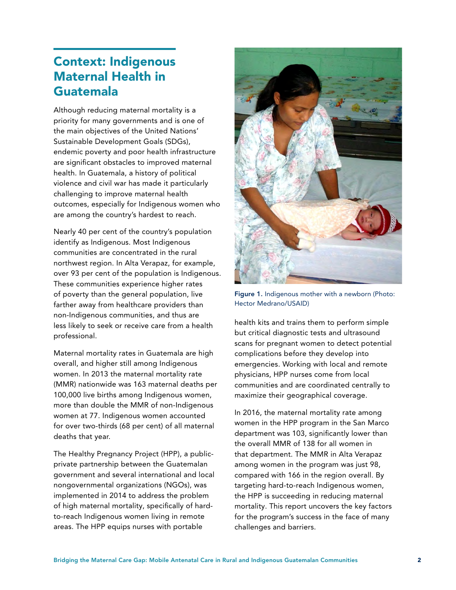# <span id="page-3-0"></span>Context: Indigenous Maternal Health in Guatemala

Although reducing maternal mortality is a priority for many governments and is one of the main objectives of the United Nations' Sustainable Development Goals (SDGs), endemic poverty and poor health infrastructure are significant obstacles to improved maternal health. In Guatemala, a history of political violence and civil war has made it particularly challenging to improve maternal health outcomes, especially for Indigenous women who are among the country's hardest to reach.

Nearly 40 per cent of the country's population identify as Indigenous. Most Indigenous communities are concentrated in the rural northwest region. In Alta Verapaz, for example, over 93 per cent of the population is Indigenous. These communities experience higher rates of poverty than the general population, live farther away from healthcare providers than non-Indigenous communities, and thus are less likely to seek or receive care from a health professional.

Maternal mortality rates in Guatemala are high overall, and higher still among Indigenous women. In 2013 the maternal mortality rate (MMR) nationwide was 163 maternal deaths per 100,000 live births among Indigenous women, more than double the MMR of non-Indigenous women at 77. Indigenous women accounted for over two-thirds (68 per cent) of all maternal deaths that year.

The Healthy Pregnancy Project (HPP), a publicprivate partnership between the Guatemalan government and several international and local nongovernmental organizations (NGOs), was implemented in 2014 to address the problem of high maternal mortality, specifically of hardto-reach Indigenous women living in remote areas. The HPP equips nurses with portable



Figure 1. Indigenous mother with a newborn (Photo: Hector Medrano/USAID)

health kits and trains them to perform simple but critical diagnostic tests and ultrasound scans for pregnant women to detect potential complications before they develop into emergencies. Working with local and remote physicians, HPP nurses come from local communities and are coordinated centrally to maximize their geographical coverage.

In 2016, the maternal mortality rate among women in the HPP program in the San Marco department was 103, significantly lower than the overall MMR of 138 for all women in that department. The MMR in Alta Verapaz among women in the program was just 98, compared with 166 in the region overall. By targeting hard-to-reach Indigenous women, the HPP is succeeding in reducing maternal mortality. This report uncovers the key factors for the program's success in the face of many challenges and barriers.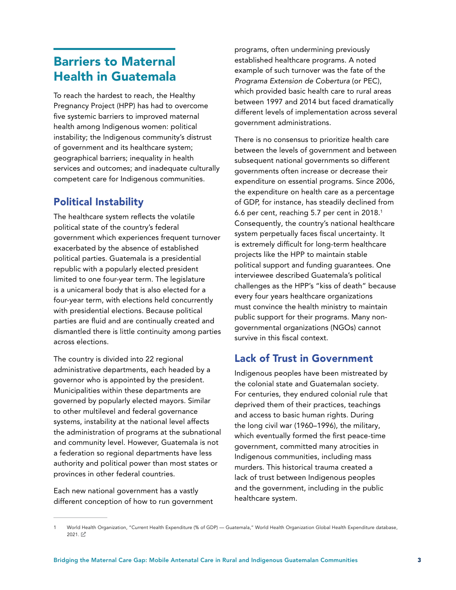## <span id="page-4-0"></span>Barriers to Maternal Health in Guatemala

To reach the hardest to reach, the Healthy Pregnancy Project (HPP) has had to overcome five systemic barriers to improved maternal health among Indigenous women: political instability; the Indigenous community's distrust of government and its healthcare system; geographical barriers; inequality in health services and outcomes; and inadequate culturally competent care for Indigenous communities.

#### Political Instability

The healthcare system reflects the volatile political state of the country's federal government which experiences frequent turnover exacerbated by the absence of established political parties. Guatemala is a presidential republic with a popularly elected president limited to one four-year term. The legislature is a unicameral body that is also elected for a four-year term, with elections held concurrently with presidential elections. Because political parties are fluid and are continually created and dismantled there is little continuity among parties across elections.

The country is divided into 22 regional administrative departments, each headed by a governor who is appointed by the president. Municipalities within these departments are governed by popularly elected mayors. Similar to other multilevel and federal governance systems, instability at the national level affects the administration of programs at the subnational and community level. However, Guatemala is not a federation so regional departments have less authority and political power than most states or provinces in other federal countries.

Each new national government has a vastly different conception of how to run government programs, often undermining previously established healthcare programs. A noted example of such turnover was the fate of the *Programa Extension de Cobertura* (or PEC), which provided basic health care to rural areas between 1997 and 2014 but faced dramatically different levels of implementation across several government administrations.

There is no consensus to prioritize health care between the levels of government and between subsequent national governments so different governments often increase or decrease their expenditure on essential programs. Since 2006, the expenditure on health care as a percentage of GDP, for instance, has steadily declined from 6.6 per cent, reaching 5.7 per cent in 2018.1 Consequently, the country's national healthcare system perpetually faces fiscal uncertainty. It is extremely difficult for long-term healthcare projects like the HPP to maintain stable political support and funding guarantees. One interviewee described Guatemala's political challenges as the HPP's "kiss of death" because every four years healthcare organizations must convince the health ministry to maintain public support for their programs. Many nongovernmental organizations (NGOs) cannot survive in this fiscal context.

#### Lack of Trust in Government

Indigenous peoples have been mistreated by the colonial state and Guatemalan society. For centuries, they endured colonial rule that deprived them of their practices, teachings and access to basic human rights. During the long civil war (1960–1996), the military, which eventually formed the first peace-time government, committed many atrocities in Indigenous communities, including mass murders. This historical trauma created a lack of trust between Indigenous peoples and the government, including in the public healthcare system.

World Health Organization, "Current Health Expenditure (% of GDP) — Guatemala," World Health Organization Global Health Expenditure database, 2021. 【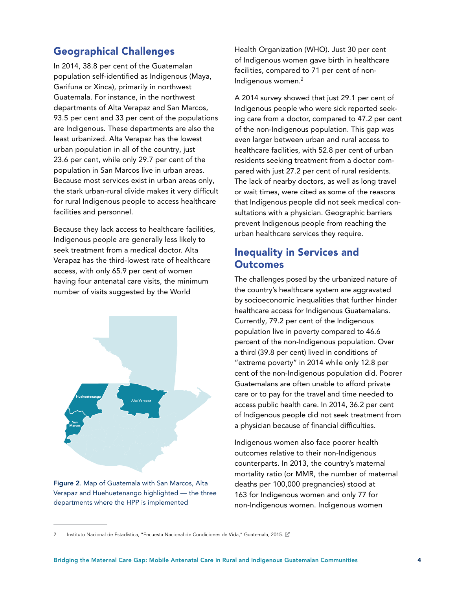#### Geographical Challenges

In 2014, 38.8 per cent of the Guatemalan population self-identified as Indigenous (Maya, Garifuna or Xinca), primarily in northwest Guatemala. For instance, in the northwest departments of Alta Verapaz and San Marcos, 93.5 per cent and 33 per cent of the populations are Indigenous. These departments are also the least urbanized. Alta Verapaz has the lowest urban population in all of the country, just 23.6 per cent, while only 29.7 per cent of the population in San Marcos live in urban areas. Because most services exist in urban areas only, the stark urban-rural divide makes it very difficult for rural Indigenous people to access healthcare facilities and personnel.

Because they lack access to healthcare facilities, Indigenous people are generally less likely to seek treatment from a medical doctor. Alta Verapaz has the third-lowest rate of healthcare access, with only 65.9 per cent of women having four antenatal care visits, the minimum number of visits suggested by the World



Figure 2. Map of Guatemala with San Marcos, Alta Verapaz and Huehuetenango highlighted — the three departments where the HPP is implemented

Health Organization (WHO). Just 30 per cent of Indigenous women gave birth in healthcare facilities, compared to 71 per cent of non-Indigenous women.2

A 2014 survey showed that just 29.1 per cent of Indigenous people who were sick reported seeking care from a doctor, compared to 47.2 per cent of the non-Indigenous population. This gap was even larger between urban and rural access to healthcare facilities, with 52.8 per cent of urban residents seeking treatment from a doctor compared with just 27.2 per cent of rural residents. The lack of nearby doctors, as well as long travel or wait times, were cited as some of the reasons that Indigenous people did not seek medical consultations with a physician. Geographic barriers prevent Indigenous people from reaching the urban healthcare services they require.

#### Inequality in Services and **Outcomes**

The challenges posed by the urbanized nature of the country's healthcare system are aggravated by socioeconomic inequalities that further hinder healthcare access for Indigenous Guatemalans. Currently, 79.2 per cent of the Indigenous population live in poverty compared to 46.6 percent of the non-Indigenous population. Over a third (39.8 per cent) lived in conditions of "extreme poverty" in 2014 while only 12.8 per cent of the non-Indigenous population did. Poorer Guatemalans are often unable to afford private care or to pay for the travel and time needed to access public health care. In 2014, 36.2 per cent of Indigenous people did not seek treatment from a physician because of financial difficulties.

Indigenous women also face poorer health outcomes relative to their non-Indigenous counterparts. In 2013, the country's maternal mortality ratio (or MMR, the number of maternal deaths per 100,000 pregnancies) stood at 163 for Indigenous women and only 77 for non-Indigenous women. Indigenous women

<sup>2</sup> Instituto Nacional de Estadística, "Encuesta Nacional de Condiciones de Vida," Guatemala, 2015. [20]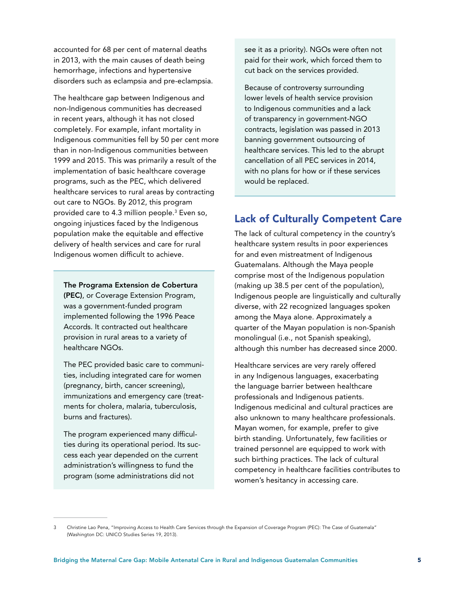accounted for 68 per cent of maternal deaths in 2013, with the main causes of death being hemorrhage, infections and hypertensive disorders such as eclampsia and pre-eclampsia.

The healthcare gap between Indigenous and non-Indigenous communities has decreased in recent years, although it has not closed completely. For example, infant mortality in Indigenous communities fell by 50 per cent more than in non-Indigenous communities between 1999 and 2015. This was primarily a result of the implementation of basic healthcare coverage programs, such as the PEC, which delivered healthcare services to rural areas by contracting out care to NGOs. By 2012, this program provided care to 4.3 million people.3 Even so, ongoing injustices faced by the Indigenous population make the equitable and effective delivery of health services and care for rural Indigenous women difficult to achieve.

The Programa Extension de Cobertura (PEC), or Coverage Extension Program, was a government-funded program implemented following the 1996 Peace Accords. It contracted out healthcare provision in rural areas to a variety of healthcare NGOs.

The PEC provided basic care to communities, including integrated care for women (pregnancy, birth, cancer screening), immunizations and emergency care (treatments for cholera, malaria, tuberculosis, burns and fractures).

The program experienced many difficulties during its operational period. Its success each year depended on the current administration's willingness to fund the program (some administrations did not

see it as a priority). NGOs were often not paid for their work, which forced them to cut back on the services provided.

Because of controversy surrounding lower levels of health service provision to Indigenous communities and a lack of transparency in government-NGO contracts, legislation was passed in 2013 banning government outsourcing of healthcare services. This led to the abrupt cancellation of all PEC services in 2014, with no plans for how or if these services would be replaced.

#### Lack of Culturally Competent Care

The lack of cultural competency in the country's healthcare system results in poor experiences for and even mistreatment of Indigenous Guatemalans. Although the Maya people comprise most of the Indigenous population (making up 38.5 per cent of the population), Indigenous people are linguistically and culturally diverse, with 22 recognized languages spoken among the Maya alone. Approximately a quarter of the Mayan population is non-Spanish monolingual (i.e., not Spanish speaking), although this number has decreased since 2000.

Healthcare services are very rarely offered in any Indigenous languages, exacerbating the language barrier between healthcare professionals and Indigenous patients. Indigenous medicinal and cultural practices are also unknown to many healthcare professionals. Mayan women, for example, prefer to give birth standing. Unfortunately, few facilities or trained personnel are equipped to work with such birthing practices. The lack of cultural competency in healthcare facilities contributes to women's hesitancy in accessing care.

<sup>3</sup> Christine Lao Pena, "Improving Access to Health Care Services through the Expansion of Coverage Program (PEC): The Case of Guatemala" (Washington DC: UNICO Studies Series 19, 2013).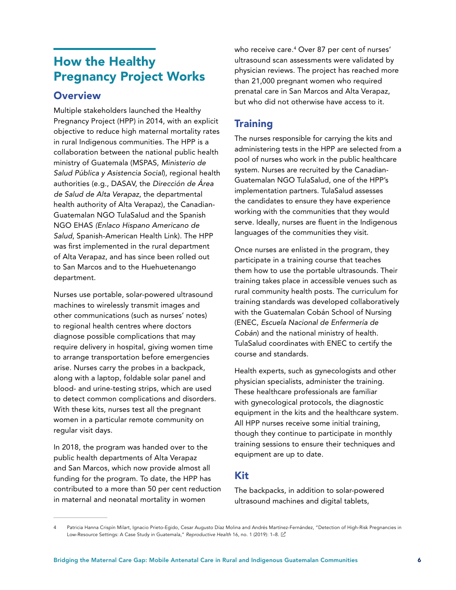# <span id="page-7-0"></span>How the Healthy Pregnancy Project Works

#### **Overview**

Multiple stakeholders launched the Healthy Pregnancy Project (HPP) in 2014, with an explicit objective to reduce high maternal mortality rates in rural Indigenous communities. The HPP is a collaboration between the national public health ministry of Guatemala (MSPAS, *Ministerio de Salud Pública y Asistencia Social*), regional health authorities (e.g., DASAV, the *Dirección de Área de Salud de Alta Verapaz*, the departmental health authority of Alta Verapaz), the Canadian-Guatemalan NGO TulaSalud and the Spanish NGO EHAS *(Enlaco Hispano Americano de Salud*, Spanish-American Health Link). The HPP was first implemented in the rural department of Alta Verapaz, and has since been rolled out to San Marcos and to the Huehuetenango department.

Nurses use portable, solar-powered ultrasound machines to wirelessly transmit images and other communications (such as nurses' notes) to regional health centres where doctors diagnose possible complications that may require delivery in hospital, giving women time to arrange transportation before emergencies arise. Nurses carry the probes in a backpack, along with a laptop, foldable solar panel and blood- and urine-testing strips, which are used to detect common complications and disorders. With these kits, nurses test all the pregnant women in a particular remote community on regular visit days.

In 2018, the program was handed over to the public health departments of Alta Verapaz and San Marcos, which now provide almost all funding for the program. To date, the HPP has contributed to a more than 50 per cent reduction in maternal and neonatal mortality in women

who receive care.4 Over 87 per cent of nurses' ultrasound scan assessments were validated by physician reviews. The project has reached more than 21,000 pregnant women who required prenatal care in San Marcos and Alta Verapaz, but who did not otherwise have access to it.

#### **Training**

The nurses responsible for carrying the kits and administering tests in the HPP are selected from a pool of nurses who work in the public healthcare system. Nurses are recruited by the Canadian-Guatemalan NGO TulaSalud, one of the HPP's implementation partners. TulaSalud assesses the candidates to ensure they have experience working with the communities that they would serve. Ideally, nurses are fluent in the Indigenous languages of the communities they visit.

Once nurses are enlisted in the program, they participate in a training course that teaches them how to use the portable ultrasounds. Their training takes place in accessible venues such as rural community health posts. The curriculum for training standards was developed collaboratively with the Guatemalan Cobán School of Nursing (ENEC, *Escuela Nacional de Enfermería de Cobán*) and the national ministry of health. TulaSalud coordinates with ENEC to certify the course and standards.

Health experts, such as gynecologists and other physician specialists, administer the training. These healthcare professionals are familiar with gynecological protocols, the diagnostic equipment in the kits and the healthcare system. All HPP nurses receive some initial training, though they continue to participate in monthly training sessions to ensure their techniques and equipment are up to date.

#### Kit

The backpacks, in addition to solar-powered ultrasound machines and digital tablets,

Patricia Hanna Crispín Milart, Ignacio Prieto-Egido, Cesar Augusto Díaz Molina and Andrés Martínez-Fernández, "Detection of High-Risk Pregnancies in Low-Resource Settings: A Case Study in Guatemala," *Reproductive Health* 16, no. 1 (2019): 1–8.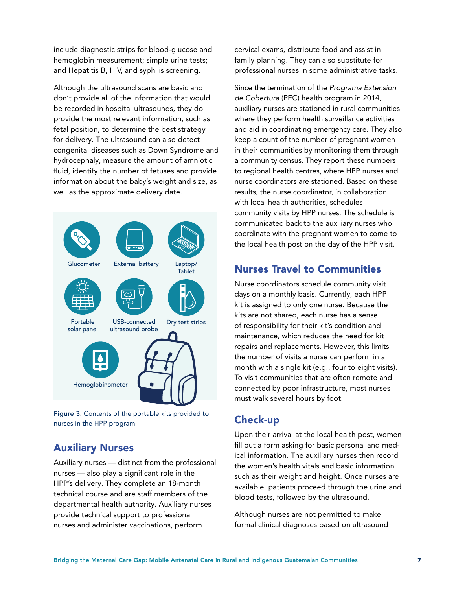include diagnostic strips for blood-glucose and hemoglobin measurement; simple urine tests; and Hepatitis B, HIV, and syphilis screening.

Although the ultrasound scans are basic and don't provide all of the information that would be recorded in hospital ultrasounds, they do provide the most relevant information, such as fetal position, to determine the best strategy for delivery. The ultrasound can also detect congenital diseases such as Down Syndrome and hydrocephaly, measure the amount of amniotic fluid, identify the number of fetuses and provide information about the baby's weight and size, as well as the approximate delivery date.



Figure 3. Contents of the portable kits provided to nurses in the HPP program

#### Auxiliary Nurses

Auxiliary nurses — distinct from the professional nurses — also play a significant role in the HPP's delivery. They complete an 18-month technical course and are staff members of the departmental health authority. Auxiliary nurses provide technical support to professional nurses and administer vaccinations, perform

cervical exams, distribute food and assist in family planning. They can also substitute for professional nurses in some administrative tasks.

Since the termination of the *Programa Extension de Cobertura* (PEC) health program in 2014, auxiliary nurses are stationed in rural communities where they perform health surveillance activities and aid in coordinating emergency care. They also keep a count of the number of pregnant women in their communities by monitoring them through a community census. They report these numbers to regional health centres, where HPP nurses and nurse coordinators are stationed. Based on these results, the nurse coordinator, in collaboration with local health authorities, schedules community visits by HPP nurses. The schedule is communicated back to the auxiliary nurses who coordinate with the pregnant women to come to the local health post on the day of the HPP visit.

#### Nurses Travel to Communities

Nurse coordinators schedule community visit days on a monthly basis. Currently, each HPP kit is assigned to only one nurse. Because the kits are not shared, each nurse has a sense of responsibility for their kit's condition and maintenance, which reduces the need for kit repairs and replacements. However, this limits the number of visits a nurse can perform in a month with a single kit (e.g., four to eight visits). To visit communities that are often remote and connected by poor infrastructure, most nurses must walk several hours by foot.

#### Check-up

Upon their arrival at the local health post, women fill out a form asking for basic personal and medical information. The auxiliary nurses then record the women's health vitals and basic information such as their weight and height. Once nurses are available, patients proceed through the urine and blood tests, followed by the ultrasound.

Although nurses are not permitted to make formal clinical diagnoses based on ultrasound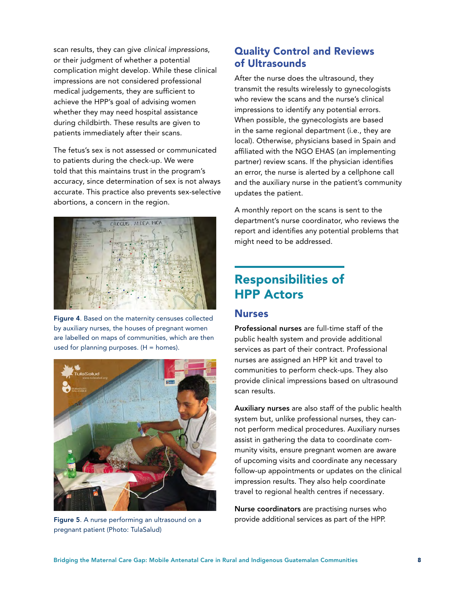<span id="page-9-0"></span>scan results, they can give *clinical impressions*, or their judgment of whether a potential complication might develop. While these clinical impressions are not considered professional medical judgements, they are sufficient to achieve the HPP's goal of advising women whether they may need hospital assistance during childbirth. These results are given to patients immediately after their scans.

The fetus's sex is not assessed or communicated to patients during the check-up. We were told that this maintains trust in the program's accuracy, since determination of sex is not always accurate. This practice also prevents sex-selective abortions, a concern in the region.



Figure 4. Based on the maternity censuses collected by auxiliary nurses, the houses of pregnant women are labelled on maps of communities, which are then used for planning purposes.  $(H = homes)$ .



Figure 5. A nurse performing an ultrasound on a pregnant patient (Photo: TulaSalud)

#### Quality Control and Reviews of Ultrasounds

After the nurse does the ultrasound, they transmit the results wirelessly to gynecologists who review the scans and the nurse's clinical impressions to identify any potential errors. When possible, the gynecologists are based in the same regional department (i.e., they are local). Otherwise, physicians based in Spain and affiliated with the NGO EHAS (an implementing partner) review scans. If the physician identifies an error, the nurse is alerted by a cellphone call and the auxiliary nurse in the patient's community updates the patient.

A monthly report on the scans is sent to the department's nurse coordinator, who reviews the report and identifies any potential problems that might need to be addressed.

# Responsibilities of HPP Actors

#### Nurses

Professional nurses are full-time staff of the public health system and provide additional services as part of their contract. Professional nurses are assigned an HPP kit and travel to communities to perform check-ups. They also provide clinical impressions based on ultrasound scan results.

Auxiliary nurses are also staff of the public health system but, unlike professional nurses, they cannot perform medical procedures. Auxiliary nurses assist in gathering the data to coordinate community visits, ensure pregnant women are aware of upcoming visits and coordinate any necessary follow-up appointments or updates on the clinical impression results. They also help coordinate travel to regional health centres if necessary.

Nurse coordinators are practising nurses who provide additional services as part of the HPP.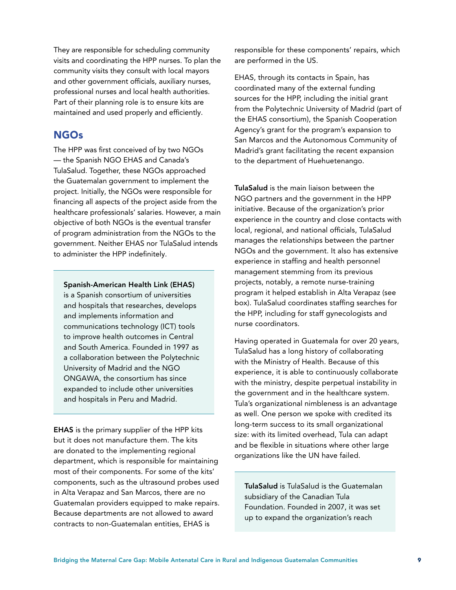They are responsible for scheduling community visits and coordinating the HPP nurses. To plan the community visits they consult with local mayors and other government officials, auxiliary nurses, professional nurses and local health authorities. Part of their planning role is to ensure kits are maintained and used properly and efficiently.

#### **NGOs**

The HPP was first conceived of by two NGOs — the Spanish NGO EHAS and Canada's TulaSalud. Together, these NGOs approached the Guatemalan government to implement the project. Initially, the NGOs were responsible for financing all aspects of the project aside from the healthcare professionals' salaries. However, a main objective of both NGOs is the eventual transfer of program administration from the NGOs to the government. Neither EHAS nor TulaSalud intends to administer the HPP indefinitely.

Spanish-American Health Link (EHAS) is a Spanish consortium of universities and hospitals that researches, develops and implements information and communications technology (ICT) tools to improve health outcomes in Central and South America. Founded in 1997 as a collaboration between the Polytechnic University of Madrid and the NGO ONGAWA, the consortium has since expanded to include other universities and hospitals in Peru and Madrid.

EHAS is the primary supplier of the HPP kits but it does not manufacture them. The kits are donated to the implementing regional department, which is responsible for maintaining most of their components. For some of the kits' components, such as the ultrasound probes used in Alta Verapaz and San Marcos, there are no Guatemalan providers equipped to make repairs. Because departments are not allowed to award contracts to non-Guatemalan entities, EHAS is

responsible for these components' repairs, which are performed in the US.

EHAS, through its contacts in Spain, has coordinated many of the external funding sources for the HPP, including the initial grant from the Polytechnic University of Madrid (part of the EHAS consortium), the Spanish Cooperation Agency's grant for the program's expansion to San Marcos and the Autonomous Community of Madrid's grant facilitating the recent expansion to the department of Huehuetenango.

TulaSalud is the main liaison between the NGO partners and the government in the HPP initiative. Because of the organization's prior experience in the country and close contacts with local, regional, and national officials, TulaSalud manages the relationships between the partner NGOs and the government. It also has extensive experience in staffing and health personnel management stemming from its previous projects, notably, a remote nurse-training program it helped establish in Alta Verapaz (see box). TulaSalud coordinates staffing searches for the HPP, including for staff gynecologists and nurse coordinators.

Having operated in Guatemala for over 20 years, TulaSalud has a long history of collaborating with the Ministry of Health. Because of this experience, it is able to continuously collaborate with the ministry, despite perpetual instability in the government and in the healthcare system. Tula's organizational nimbleness is an advantage as well. One person we spoke with credited its long-term success to its small organizational size: with its limited overhead, Tula can adapt and be flexible in situations where other large organizations like the UN have failed.

TulaSalud is TulaSalud is the Guatemalan subsidiary of the Canadian Tula Foundation. Founded in 2007, it was set up to expand the organization's reach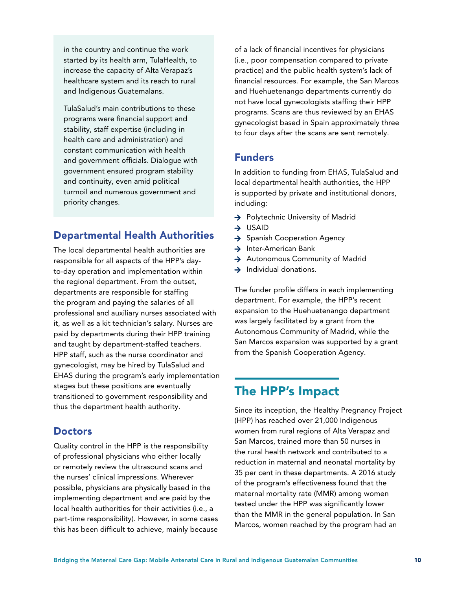<span id="page-11-0"></span>in the country and continue the work started by its health arm, TulaHealth, to increase the capacity of Alta Verapaz's healthcare system and its reach to rural and Indigenous Guatemalans.

TulaSalud's main contributions to these programs were financial support and stability, staff expertise (including in health care and administration) and constant communication with health and government officials. Dialogue with government ensured program stability and continuity, even amid political turmoil and numerous government and priority changes.

#### Departmental Health Authorities

The local departmental health authorities are responsible for all aspects of the HPP's dayto-day operation and implementation within the regional department. From the outset, departments are responsible for staffing the program and paying the salaries of all professional and auxiliary nurses associated with it, as well as a kit technician's salary. Nurses are paid by departments during their HPP training and taught by department-staffed teachers. HPP staff, such as the nurse coordinator and gynecologist, may be hired by TulaSalud and EHAS during the program's early implementation stages but these positions are eventually transitioned to government responsibility and thus the department health authority.

#### **Doctors**

Quality control in the HPP is the responsibility of professional physicians who either locally or remotely review the ultrasound scans and the nurses' clinical impressions. Wherever possible, physicians are physically based in the implementing department and are paid by the local health authorities for their activities (i.e., a part-time responsibility). However, in some cases this has been difficult to achieve, mainly because of a lack of financial incentives for physicians (i.e., poor compensation compared to private practice) and the public health system's lack of financial resources. For example, the San Marcos and Huehuetenango departments currently do not have local gynecologists staffing their HPP programs. Scans are thus reviewed by an EHAS gynecologist based in Spain approximately three to four days after the scans are sent remotely.

#### Funders

In addition to funding from EHAS, TulaSalud and local departmental health authorities, the HPP is supported by private and institutional donors, including:

- $\rightarrow$  Polytechnic University of Madrid
- $\rightarrow$  USAID
- $\rightarrow$  Spanish Cooperation Agency
- $\rightarrow$  Inter-American Bank
- → Autonomous Community of Madrid
- $\rightarrow$  Individual donations.

The funder profile differs in each implementing department. For example, the HPP's recent expansion to the Huehuetenango department was largely facilitated by a grant from the Autonomous Community of Madrid, while the San Marcos expansion was supported by a grant from the Spanish Cooperation Agency.

#### The HPP's Impact

Since its inception, the Healthy Pregnancy Project (HPP) has reached over 21,000 Indigenous women from rural regions of Alta Verapaz and San Marcos, trained more than 50 nurses in the rural health network and contributed to a reduction in maternal and neonatal mortality by 35 per cent in these departments. A 2016 study of the program's effectiveness found that the maternal mortality rate (MMR) among women tested under the HPP was significantly lower than the MMR in the general population. In San Marcos, women reached by the program had an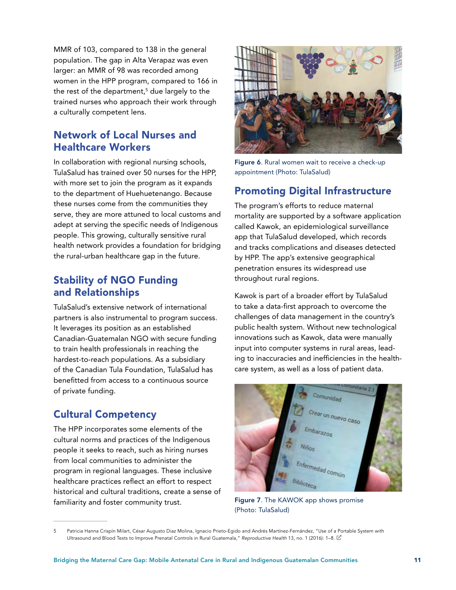MMR of 103, compared to 138 in the general population. The gap in Alta Verapaz was even larger: an MMR of 98 was recorded among women in the HPP program, compared to 166 in the rest of the department,<sup>5</sup> due largely to the trained nurses who approach their work through a culturally competent lens.

#### Network of Local Nurses and Healthcare Workers

In collaboration with regional nursing schools, TulaSalud has trained over 50 nurses for the HPP, with more set to join the program as it expands to the department of Huehuetenango. Because these nurses come from the communities they serve, they are more attuned to local customs and adept at serving the specific needs of Indigenous people. This growing, culturally sensitive rural health network provides a foundation for bridging the rural-urban healthcare gap in the future.

#### Stability of NGO Funding and Relationships

TulaSalud's extensive network of international partners is also instrumental to program success. It leverages its position as an established Canadian-Guatemalan NGO with secure funding to train health professionals in reaching the hardest-to-reach populations. As a subsidiary of the Canadian Tula Foundation, TulaSalud has benefitted from access to a continuous source of private funding.

#### Cultural Competency

The HPP incorporates some elements of the cultural norms and practices of the Indigenous people it seeks to reach, such as hiring nurses from local communities to administer the program in regional languages. These inclusive healthcare practices reflect an effort to respect historical and cultural traditions, create a sense of familiarity and foster community trust.



Figure 6. Rural women wait to receive a check-up appointment (Photo: TulaSalud)

#### Promoting Digital Infrastructure

The program's efforts to reduce maternal mortality are supported by a software application called Kawok, an epidemiological surveillance app that TulaSalud developed, which records and tracks complications and diseases detected by HPP. The app's extensive geographical penetration ensures its widespread use throughout rural regions.

Kawok is part of a broader effort by TulaSalud to take a data-first approach to overcome the challenges of data management in the country's public health system. Without new technological innovations such as Kawok, data were manually input into computer systems in rural areas, leading to inaccuracies and inefficiencies in the healthcare system, as well as a loss of patient data.



Figure 7. The KAWOK app shows promise (Photo: TulaSalud)

<sup>5</sup> Patricia Hanna Crispín Milart, César Augusto Diaz Molina, Ignacio Prieto-Egido and Andrés Martínez-Fernández, "Use of a Portable System with Ultrasound and Blood Tests to Improve Prenatal Controls in Rural Guatemala," *Reproductive Health* 13, no. 1 (2016): 1–8.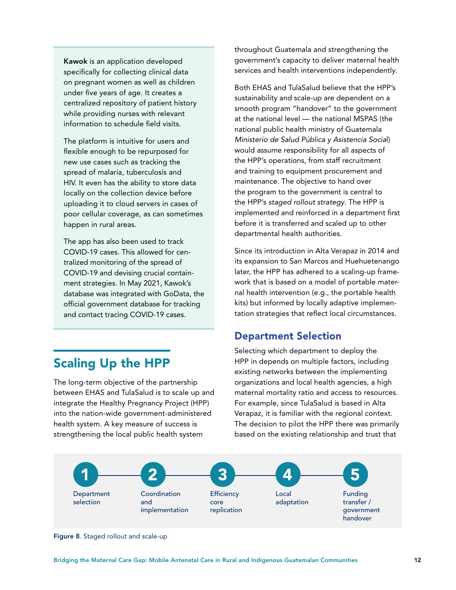<span id="page-13-0"></span>Kawok is an application developed specifically for collecting clinical data on pregnant women as well as children under five years of age. It creates a centralized repository of patient history while providing nurses with relevant information to schedule field visits.

The platform is intuitive for users and flexible enough to be repurposed for new use cases such as tracking the spread of malaria, tuberculosis and HIV. It even has the ability to store data locally on the collection device before uploading it to cloud servers in cases of poor cellular coverage, as can sometimes happen in rural areas.

The app has also been used to track COVID-19 cases. This allowed for centralized monitoring of the spread of COVID-19 and devising crucial containment strategies. In May 2021, Kawok's database was integrated with GoData, the official government database for tracking and contact tracing COVID-19 cases.

#### Scaling Up the HPP

The long-term objective of the partnership between EHAS and TulaSalud is to scale up and integrate the Healthy Pregnancy Project (HPP) into the nation-wide government-administered health system. A key measure of success is strengthening the local public health system

throughout Guatemala and strengthening the government's capacity to deliver maternal health services and health interventions independently.

Both EHAS and TulaSalud believe that the HPP's sustainability and scale-up are dependent on a smooth program "handover" to the government at the national level — the national MSPAS (the national public health ministry of Guatemala *Ministerio de Salud Pública y Asistencia Socia*l) would assume responsibility for all aspects of the HPP's operations, from staff recruitment and training to equipment procurement and maintenance. The objective to hand over the program to the government is central to the HPP's *staged rollout strategy*. The HPP is implemented and reinforced in a department first before it is transferred and scaled up to other departmental health authorities.

Since its introduction in Alta Verapaz in 2014 and its expansion to San Marcos and Huehuetenango later, the HPP has adhered to a scaling-up framework that is based on a model of portable maternal health intervention (e.g., the portable health kits) but informed by locally adaptive implementation strategies that reflect local circumstances.

#### Department Selection

Selecting which department to deploy the HPP in depends on multiple factors, including existing networks between the implementing organizations and local health agencies, a high maternal mortality ratio and access to resources. For example, since TulaSalud is based in Alta Verapaz, it is familiar with the regional context. The decision to pilot the HPP there was primarily based on the existing relationship and trust that



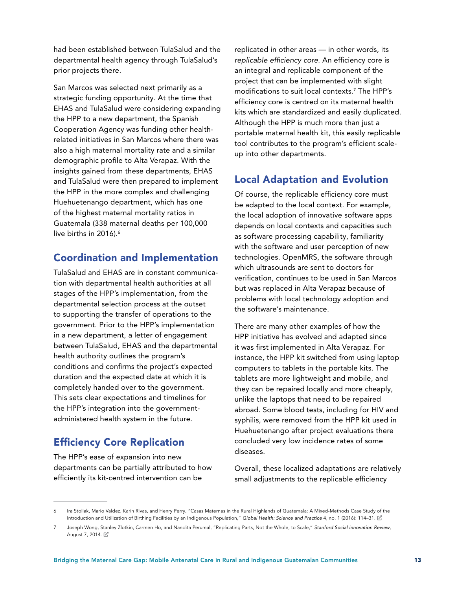had been established between TulaSalud and the departmental health agency through TulaSalud's prior projects there.

San Marcos was selected next primarily as a strategic funding opportunity. At the time that EHAS and TulaSalud were considering expanding the HPP to a new department, the Spanish Cooperation Agency was funding other healthrelated initiatives in San Marcos where there was also a high maternal mortality rate and a similar demographic profile to Alta Verapaz. With the insights gained from these departments, EHAS and TulaSalud were then prepared to implement the HPP in the more complex and challenging Huehuetenango department, which has one of the highest maternal mortality ratios in Guatemala (338 maternal deaths per 100,000 live births in 2016). $6$ 

#### Coordination and Implementation

TulaSalud and EHAS are in constant communication with departmental health authorities at all stages of the HPP's implementation, from the departmental selection process at the outset to supporting the transfer of operations to the government. Prior to the HPP's implementation in a new department, a letter of engagement between TulaSalud, EHAS and the departmental health authority outlines the program's conditions and confirms the project's expected duration and the expected date at which it is completely handed over to the government. This sets clear expectations and timelines for the HPP's integration into the governmentadministered health system in the future.

#### Efficiency Core Replication

The HPP's ease of expansion into new departments can be partially attributed to how efficiently its kit-centred intervention can be

replicated in other areas — in other words, its *replicable efficiency core*. An efficiency core is an integral and replicable component of the project that can be implemented with slight modifications to suit local contexts.7 The HPP's efficiency core is centred on its maternal health kits which are standardized and easily duplicated. Although the HPP is much more than just a portable maternal health kit, this easily replicable tool contributes to the program's efficient scaleup into other departments.

#### Local Adaptation and Evolution

Of course, the replicable efficiency core must be adapted to the local context. For example, the local adoption of innovative software apps depends on local contexts and capacities such as software processing capability, familiarity with the software and user perception of new technologies. OpenMRS, the software through which ultrasounds are sent to doctors for verification, continues to be used in San Marcos but was replaced in Alta Verapaz because of problems with local technology adoption and the software's maintenance.

There are many other examples of how the HPP initiative has evolved and adapted since it was first implemented in Alta Verapaz. For instance, the HPP kit switched from using laptop computers to tablets in the portable kits. The tablets are more lightweight and mobile, and they can be repaired locally and more cheaply, unlike the laptops that need to be repaired abroad. Some blood tests, including for HIV and syphilis, were removed from the HPP kit used in Huehuetenango after project evaluations there concluded very low incidence rates of some diseases.

Overall, these localized adaptations are relatively small adjustments to the replicable efficiency

<sup>6</sup> Ira Stollak, Mario Valdez, Karin Rivas, and Henry Perry, "Casas Maternas in the Rural Highlands of Guatemala: A Mixed-Methods Case Study of the Introduction and Utilization of Birthing Facilities by an Indigenous Population," *Global Health: Science and Practice* 4, no. 1 (2016): 114–31.

<sup>7</sup> Joseph Wong, Stanley Zlotkin, Carmen Ho, and Nandita Perumal, "Replicating Parts, Not the Whole, to Scale," *Stanford Social Innovation Review*, August 7, 2014. Z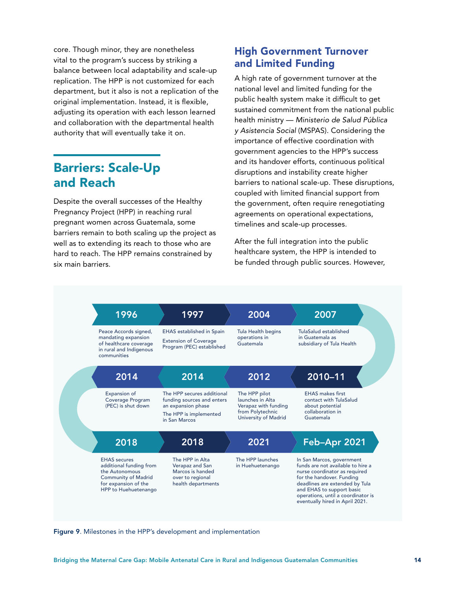<span id="page-15-0"></span>core. Though minor, they are nonetheless vital to the program's success by striking a balance between local adaptability and scale-up replication. The HPP is not customized for each department, but it also is not a replication of the original implementation. Instead, it is flexible, adjusting its operation with each lesson learned and collaboration with the departmental health authority that will eventually take it on.

#### Barriers: Scale-Up and Reach

Despite the overall successes of the Healthy Pregnancy Project (HPP) in reaching rural pregnant women across Guatemala, some barriers remain to both scaling up the project as well as to extending its reach to those who are hard to reach. The HPP remains constrained by six main barriers.

#### High Government Turnover and Limited Funding

A high rate of government turnover at the national level and limited funding for the public health system make it difficult to get sustained commitment from the national public health ministry — *Ministerio de Salud Pública y Asistencia Social* (MSPAS). Considering the importance of effective coordination with government agencies to the HPP's success and its handover efforts, continuous political disruptions and instability create higher barriers to national scale-up. These disruptions, coupled with limited financial support from the government, often require renegotiating agreements on operational expectations, timelines and scale-up processes.

After the full integration into the public healthcare system, the HPP is intended to be funded through public sources. However,



Figure 9. Milestones in the HPP's development and implementation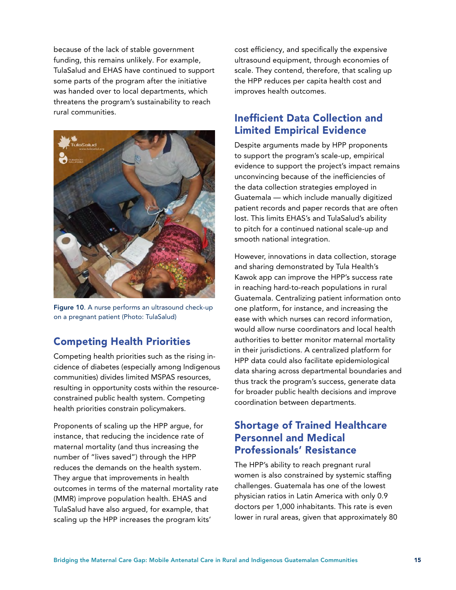because of the lack of stable government funding, this remains unlikely. For example, TulaSalud and EHAS have continued to support some parts of the program after the initiative was handed over to local departments, which threatens the program's sustainability to reach rural communities.



Figure 10. A nurse performs an ultrasound check-up on a pregnant patient (Photo: TulaSalud)

#### Competing Health Priorities

Competing health priorities such as the rising incidence of diabetes (especially among Indigenous communities) divides limited MSPAS resources, resulting in opportunity costs within the resourceconstrained public health system. Competing health priorities constrain policymakers.

Proponents of scaling up the HPP argue, for instance, that reducing the incidence rate of maternal mortality (and thus increasing the number of "lives saved") through the HPP reduces the demands on the health system. They argue that improvements in health outcomes in terms of the maternal mortality rate (MMR) improve population health. EHAS and TulaSalud have also argued, for example, that scaling up the HPP increases the program kits'

cost efficiency, and specifically the expensive ultrasound equipment, through economies of scale. They contend, therefore, that scaling up the HPP reduces per capita health cost and improves health outcomes.

#### Inefficient Data Collection and Limited Empirical Evidence

Despite arguments made by HPP proponents to support the program's scale-up, empirical evidence to support the project's impact remains unconvincing because of the inefficiencies of the data collection strategies employed in Guatemala — which include manually digitized patient records and paper records that are often lost. This limits EHAS's and TulaSalud's ability to pitch for a continued national scale-up and smooth national integration.

However, innovations in data collection, storage and sharing demonstrated by Tula Health's Kawok app can improve the HPP's success rate in reaching hard-to-reach populations in rural Guatemala. Centralizing patient information onto one platform, for instance, and increasing the ease with which nurses can record information, would allow nurse coordinators and local health authorities to better monitor maternal mortality in their jurisdictions. A centralized platform for HPP data could also facilitate epidemiological data sharing across departmental boundaries and thus track the program's success, generate data for broader public health decisions and improve coordination between departments.

#### Shortage of Trained Healthcare Personnel and Medical Professionals' Resistance

The HPP's ability to reach pregnant rural women is also constrained by systemic staffing challenges. Guatemala has one of the lowest physician ratios in Latin America with only 0.9 doctors per 1,000 inhabitants. This rate is even lower in rural areas, given that approximately 80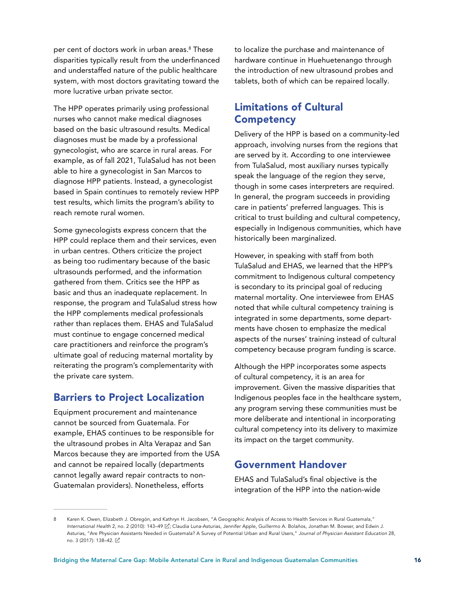per cent of doctors work in urban areas.8 These disparities typically result from the underfinanced and understaffed nature of the public healthcare system, with most doctors gravitating toward the more lucrative urban private sector.

The HPP operates primarily using professional nurses who cannot make medical diagnoses based on the basic ultrasound results. Medical diagnoses must be made by a professional gynecologist, who are scarce in rural areas. For example, as of fall 2021, TulaSalud has not been able to hire a gynecologist in San Marcos to diagnose HPP patients. Instead, a gynecologist based in Spain continues to remotely review HPP test results, which limits the program's ability to reach remote rural women.

Some gynecologists express concern that the HPP could replace them and their services, even in urban centres. Others criticize the project as being too rudimentary because of the basic ultrasounds performed, and the information gathered from them. Critics see the HPP as basic and thus an inadequate replacement. In response, the program and TulaSalud stress how the HPP complements medical professionals rather than replaces them. EHAS and TulaSalud must continue to engage concerned medical care practitioners and reinforce the program's ultimate goal of reducing maternal mortality by reiterating the program's complementarity with the private care system.

#### Barriers to Project Localization

Equipment procurement and maintenance cannot be sourced from Guatemala. For example, EHAS continues to be responsible for the ultrasound probes in Alta Verapaz and San Marcos because they are imported from the USA and cannot be repaired locally (departments cannot legally award repair contracts to non-Guatemalan providers). Nonetheless, efforts

to localize the purchase and maintenance of hardware continue in Huehuetenango through the introduction of new ultrasound probes and tablets, both of which can be repaired locally.

#### Limitations of Cultural **Competency**

Delivery of the HPP is based on a community-led approach, involving nurses from the regions that are served by it. According to one interviewee from TulaSalud, most auxiliary nurses typically speak the language of the region they serve, though in some cases interpreters are required. In general, the program succeeds in providing care in patients' preferred languages. This is critical to trust building and cultural competency, especially in Indigenous communities, which have historically been marginalized.

However, in speaking with staff from both TulaSalud and EHAS, we learned that the HPP's commitment to Indigenous cultural competency is secondary to its principal goal of reducing maternal mortality. One interviewee from EHAS noted that while cultural competency training is integrated in some departments, some departments have chosen to emphasize the medical aspects of the nurses' training instead of cultural competency because program funding is scarce.

Although the HPP incorporates some aspects of cultural competency, it is an area for improvement. Given the massive disparities that Indigenous peoples face in the healthcare system, any program serving these communities must be more deliberate and intentional in incorporating cultural competency into its delivery to maximize its impact on the target community.

#### Government Handover

EHAS and TulaSalud's final objective is the integration of the HPP into the nation-wide

<sup>8</sup> Karen K. Owen, Elizabeth J. Obregón, and Kathryn H. Jacobsen, "A Geographic Analysis of Access to Health Services in Rural Guatemala," International Health 2, no. 2 (2010): 143–49 [Z]; Claudia Luna-Asturias, Jennifer Apple, Guillermo A. Bolaños, Jonathan M. Bowser, and Edwin J. Asturias, "Are Physician Assistants Needed in Guatemala? A Survey of Potential Urban and Rural Users," *Journal of Physician Assistant Education* 28, no. 3 (2017): 138–42.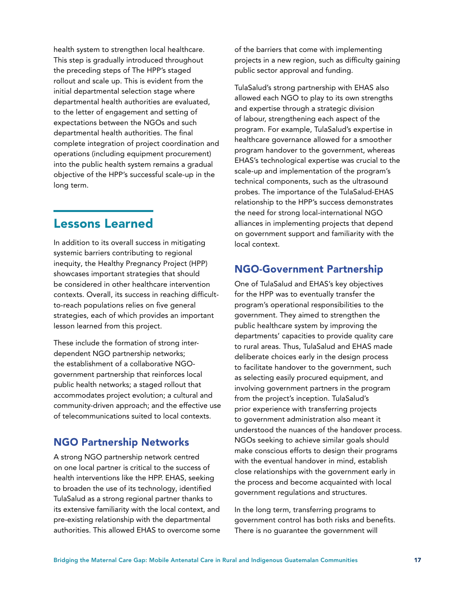<span id="page-18-0"></span>health system to strengthen local healthcare. This step is gradually introduced throughout the preceding steps of The HPP's staged rollout and scale up. This is evident from the initial departmental selection stage where departmental health authorities are evaluated, to the letter of engagement and setting of expectations between the NGOs and such departmental health authorities. The final complete integration of project coordination and operations (including equipment procurement) into the public health system remains a gradual objective of the HPP's successful scale-up in the long term.

#### Lessons Learned

In addition to its overall success in mitigating systemic barriers contributing to regional inequity, the Healthy Pregnancy Project (HPP) showcases important strategies that should be considered in other healthcare intervention contexts. Overall, its success in reaching difficultto-reach populations relies on five general strategies, each of which provides an important lesson learned from this project.

These include the formation of strong interdependent NGO partnership networks; the establishment of a collaborative NGOgovernment partnership that reinforces local public health networks; a staged rollout that accommodates project evolution; a cultural and community-driven approach; and the effective use of telecommunications suited to local contexts.

#### NGO Partnership Networks

A strong NGO partnership network centred on one local partner is critical to the success of health interventions like the HPP. EHAS, seeking to broaden the use of its technology, identified TulaSalud as a strong regional partner thanks to its extensive familiarity with the local context, and pre-existing relationship with the departmental authorities. This allowed EHAS to overcome some of the barriers that come with implementing projects in a new region, such as difficulty gaining public sector approval and funding.

TulaSalud's strong partnership with EHAS also allowed each NGO to play to its own strengths and expertise through a strategic division of labour, strengthening each aspect of the program. For example, TulaSalud's expertise in healthcare governance allowed for a smoother program handover to the government, whereas EHAS's technological expertise was crucial to the scale-up and implementation of the program's technical components, such as the ultrasound probes. The importance of the TulaSalud-EHAS relationship to the HPP's success demonstrates the need for strong local-international NGO alliances in implementing projects that depend on government support and familiarity with the local context.

#### NGO-Government Partnership

One of TulaSalud and EHAS's key objectives for the HPP was to eventually transfer the program's operational responsibilities to the government. They aimed to strengthen the public healthcare system by improving the departments' capacities to provide quality care to rural areas. Thus, TulaSalud and EHAS made deliberate choices early in the design process to facilitate handover to the government, such as selecting easily procured equipment, and involving government partners in the program from the project's inception. TulaSalud's prior experience with transferring projects to government administration also meant it understood the nuances of the handover process. NGOs seeking to achieve similar goals should make conscious efforts to design their programs with the eventual handover in mind, establish close relationships with the government early in the process and become acquainted with local government regulations and structures.

In the long term, transferring programs to government control has both risks and benefits. There is no guarantee the government will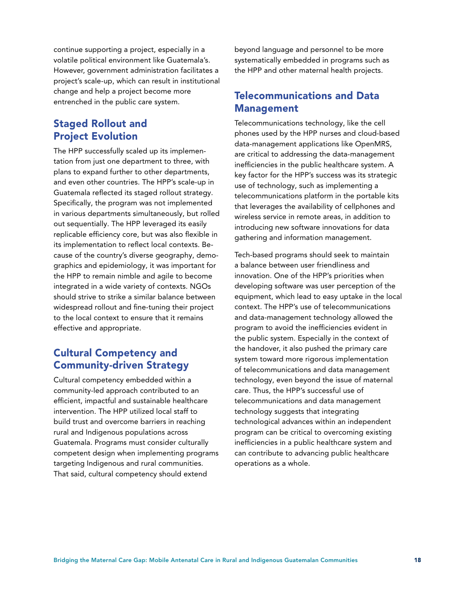continue supporting a project, especially in a volatile political environment like Guatemala's. However, government administration facilitates a project's scale-up, which can result in institutional change and help a project become more entrenched in the public care system.

#### Staged Rollout and Project Evolution

The HPP successfully scaled up its implementation from just one department to three, with plans to expand further to other departments, and even other countries. The HPP's scale-up in Guatemala reflected its staged rollout strategy. Specifically, the program was not implemented in various departments simultaneously, but rolled out sequentially. The HPP leveraged its easily replicable efficiency core, but was also flexible in its implementation to reflect local contexts. Because of the country's diverse geography, demographics and epidemiology, it was important for the HPP to remain nimble and agile to become integrated in a wide variety of contexts. NGOs should strive to strike a similar balance between widespread rollout and fine-tuning their project to the local context to ensure that it remains effective and appropriate.

#### Cultural Competency and Community-driven Strategy

Cultural competency embedded within a community-led approach contributed to an efficient, impactful and sustainable healthcare intervention. The HPP utilized local staff to build trust and overcome barriers in reaching rural and Indigenous populations across Guatemala. Programs must consider culturally competent design when implementing programs targeting Indigenous and rural communities. That said, cultural competency should extend

beyond language and personnel to be more systematically embedded in programs such as the HPP and other maternal health projects.

#### Telecommunications and Data Management

Telecommunications technology, like the cell phones used by the HPP nurses and cloud-based data-management applications like OpenMRS, are critical to addressing the data-management inefficiencies in the public healthcare system. A key factor for the HPP's success was its strategic use of technology, such as implementing a telecommunications platform in the portable kits that leverages the availability of cellphones and wireless service in remote areas, in addition to introducing new software innovations for data gathering and information management.

Tech-based programs should seek to maintain a balance between user friendliness and innovation. One of the HPP's priorities when developing software was user perception of the equipment, which lead to easy uptake in the local context. The HPP's use of telecommunications and data-management technology allowed the program to avoid the inefficiencies evident in the public system. Especially in the context of the handover, it also pushed the primary care system toward more rigorous implementation of telecommunications and data management technology, even beyond the issue of maternal care. Thus, the HPP's successful use of telecommunications and data management technology suggests that integrating technological advances within an independent program can be critical to overcoming existing inefficiencies in a public healthcare system and can contribute to advancing public healthcare operations as a whole.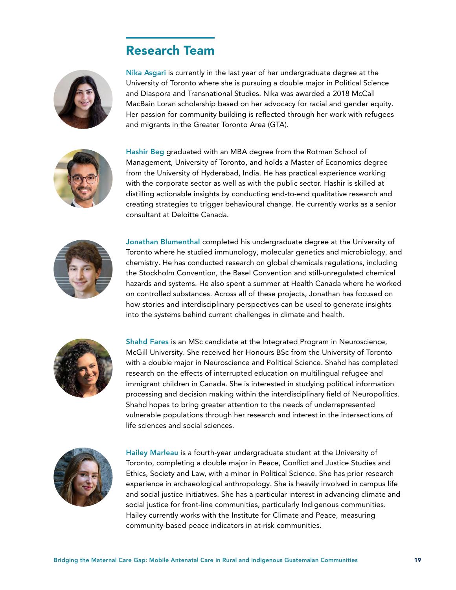#### Research Team



Nika Asgari is currently in the last year of her undergraduate degree at the University of Toronto where she is pursuing a double major in Political Science and Diaspora and Transnational Studies. Nika was awarded a 2018 McCall MacBain Loran scholarship based on her advocacy for racial and gender equity. Her passion for community building is reflected through her work with refugees and migrants in the Greater Toronto Area (GTA).



Hashir Beg graduated with an MBA degree from the Rotman School of Management, University of Toronto, and holds a Master of Economics degree from the University of Hyderabad, India. He has practical experience working with the corporate sector as well as with the public sector. Hashir is skilled at distilling actionable insights by conducting end-to-end qualitative research and creating strategies to trigger behavioural change. He currently works as a senior consultant at Deloitte Canada.



Jonathan Blumenthal completed his undergraduate degree at the University of Toronto where he studied immunology, molecular genetics and microbiology, and chemistry. He has conducted research on global chemicals regulations, including the Stockholm Convention, the Basel Convention and still-unregulated chemical hazards and systems. He also spent a summer at Health Canada where he worked on controlled substances. Across all of these projects, Jonathan has focused on how stories and interdisciplinary perspectives can be used to generate insights into the systems behind current challenges in climate and health.



Shahd Fares is an MSc candidate at the Integrated Program in Neuroscience, McGill University. She received her Honours BSc from the University of Toronto with a double major in Neuroscience and Political Science. Shahd has completed research on the effects of interrupted education on multilingual refugee and immigrant children in Canada. She is interested in studying political information processing and decision making within the interdisciplinary field of Neuropolitics. Shahd hopes to bring greater attention to the needs of underrepresented vulnerable populations through her research and interest in the intersections of life sciences and social sciences.



Hailey Marleau is a fourth-year undergraduate student at the University of Toronto, completing a double major in Peace, Conflict and Justice Studies and Ethics, Society and Law, with a minor in Political Science. She has prior research experience in archaeological anthropology. She is heavily involved in campus life and social justice initiatives. She has a particular interest in advancing climate and social justice for front-line communities, particularly Indigenous communities. Hailey currently works with the Institute for Climate and Peace, measuring community-based peace indicators in at-risk communities.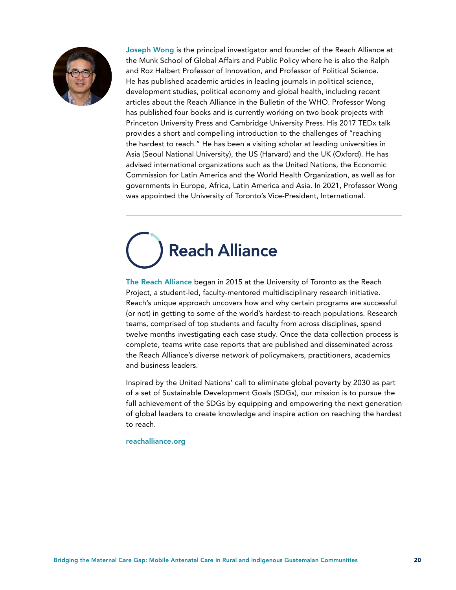

Joseph Wong is the principal investigator and founder of the Reach Alliance at the Munk School of Global Affairs and Public Policy where he is also the Ralph and Roz Halbert Professor of Innovation, and Professor of Political Science. He has published academic articles in leading journals in political science, development studies, political economy and global health, including recent articles about the Reach Alliance in the Bulletin of the WHO. Professor Wong has published four books and is currently working on two book projects with Princeton University Press and Cambridge University Press. His 2017 TEDx talk provides a short and compelling introduction to the challenges of "reaching the hardest to reach." He has been a visiting scholar at leading universities in Asia (Seoul National University), the US (Harvard) and the UK (Oxford). He has advised international organizations such as the United Nations, the Economic Commission for Latin America and the World Health Organization, as well as for governments in Europe, Africa, Latin America and Asia. In 2021, Professor Wong was appointed the University of Toronto's Vice-President, International.

# **Reach Alliance**

The Reach Alliance began in 2015 at the University of Toronto as the Reach Project, a student-led, faculty-mentored multidisciplinary research initiative. Reach's unique approach uncovers how and why certain programs are successful (or not) in getting to some of the world's hardest-to-reach populations. Research teams, comprised of top students and faculty from across disciplines, spend twelve months investigating each case study. Once the data collection process is complete, teams write case reports that are published and disseminated across the Reach Alliance's diverse network of policymakers, practitioners, academics and business leaders.

Inspired by the United Nations' call to eliminate global poverty by 2030 as part of a set of Sustainable Development Goals (SDGs), our mission is to pursue the full achievement of the SDGs by equipping and empowering the next generation of global leaders to create knowledge and inspire action on reaching the hardest to reach.

#### [reachalliance.org](http://reachalliance.org/)